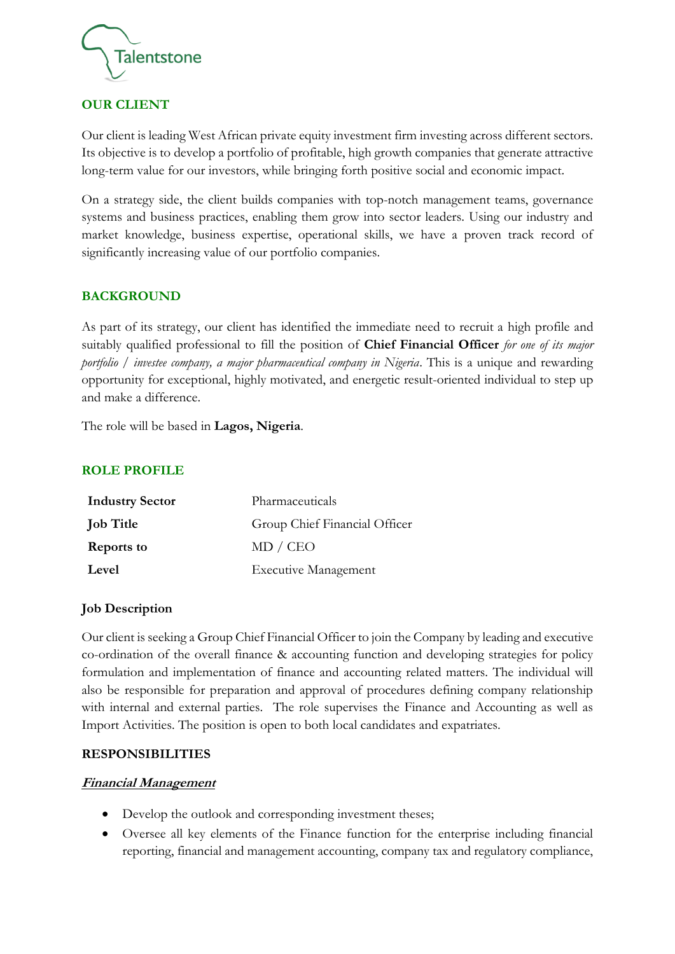

#### **OUR CLIENT**

Our client is leading West African private equity investment firm investing across different sectors. Its objective is to develop a portfolio of profitable, high growth companies that generate attractive long-term value for our investors, while bringing forth positive social and economic impact.

On a strategy side, the client builds companies with top-notch management teams, governance systems and business practices, enabling them grow into sector leaders. Using our industry and market knowledge, business expertise, operational skills, we have a proven track record of significantly increasing value of our portfolio companies.

#### **BACKGROUND**

As part of its strategy, our client has identified the immediate need to recruit a high profile and suitably qualified professional to fill the position of **Chief Financial Officer** *for one of its major portfolio / investee company, a major pharmaceutical company in Nigeria*. This is a unique and rewarding opportunity for exceptional, highly motivated, and energetic result-oriented individual to step up and make a difference.

The role will be based in **Lagos, Nigeria**.

#### **ROLE PROFILE**

| <b>Industry Sector</b> | Pharmaceuticals               |
|------------------------|-------------------------------|
| <b>Job Title</b>       | Group Chief Financial Officer |
| <b>Reports to</b>      | MD / CEO                      |
| Level                  | <b>Executive Management</b>   |

#### **Job Description**

Our client is seeking a Group Chief Financial Officer to join the Company by leading and executive co-ordination of the overall finance & accounting function and developing strategies for policy formulation and implementation of finance and accounting related matters. The individual will also be responsible for preparation and approval of procedures defining company relationship with internal and external parties. The role supervises the Finance and Accounting as well as Import Activities. The position is open to both local candidates and expatriates.

#### **RESPONSIBILITIES**

#### **Financial Management**

- Develop the outlook and corresponding investment theses;
- Oversee all key elements of the Finance function for the enterprise including financial reporting, financial and management accounting, company tax and regulatory compliance,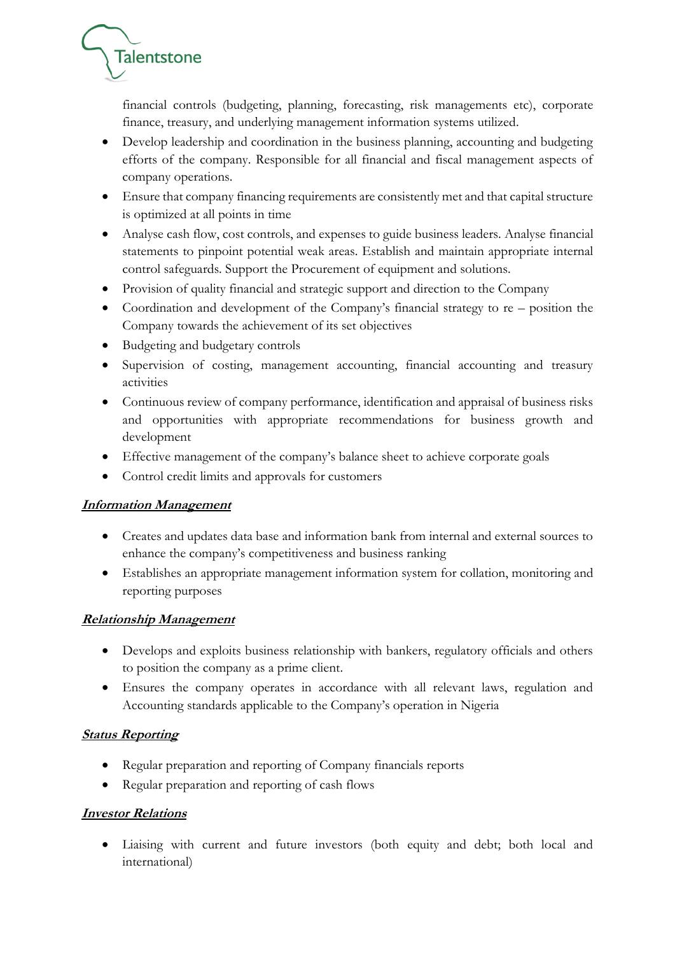

financial controls (budgeting, planning, forecasting, risk managements etc), corporate finance, treasury, and underlying management information systems utilized.

- Develop leadership and coordination in the business planning, accounting and budgeting efforts of the company. Responsible for all financial and fiscal management aspects of company operations.
- Ensure that company financing requirements are consistently met and that capital structure is optimized at all points in time
- Analyse cash flow, cost controls, and expenses to guide business leaders. Analyse financial statements to pinpoint potential weak areas. Establish and maintain appropriate internal control safeguards. Support the Procurement of equipment and solutions.
- Provision of quality financial and strategic support and direction to the Company
- Coordination and development of the Company's financial strategy to re position the Company towards the achievement of its set objectives
- Budgeting and budgetary controls
- Supervision of costing, management accounting, financial accounting and treasury activities
- Continuous review of company performance, identification and appraisal of business risks and opportunities with appropriate recommendations for business growth and development
- Effective management of the company's balance sheet to achieve corporate goals
- Control credit limits and approvals for customers

# **Information Management**

- Creates and updates data base and information bank from internal and external sources to enhance the company's competitiveness and business ranking
- Establishes an appropriate management information system for collation, monitoring and reporting purposes

# **Relationship Management**

- Develops and exploits business relationship with bankers, regulatory officials and others to position the company as a prime client.
- Ensures the company operates in accordance with all relevant laws, regulation and Accounting standards applicable to the Company's operation in Nigeria

# **Status Reporting**

- Regular preparation and reporting of Company financials reports
- Regular preparation and reporting of cash flows

# **Investor Relations**

• Liaising with current and future investors (both equity and debt; both local and international)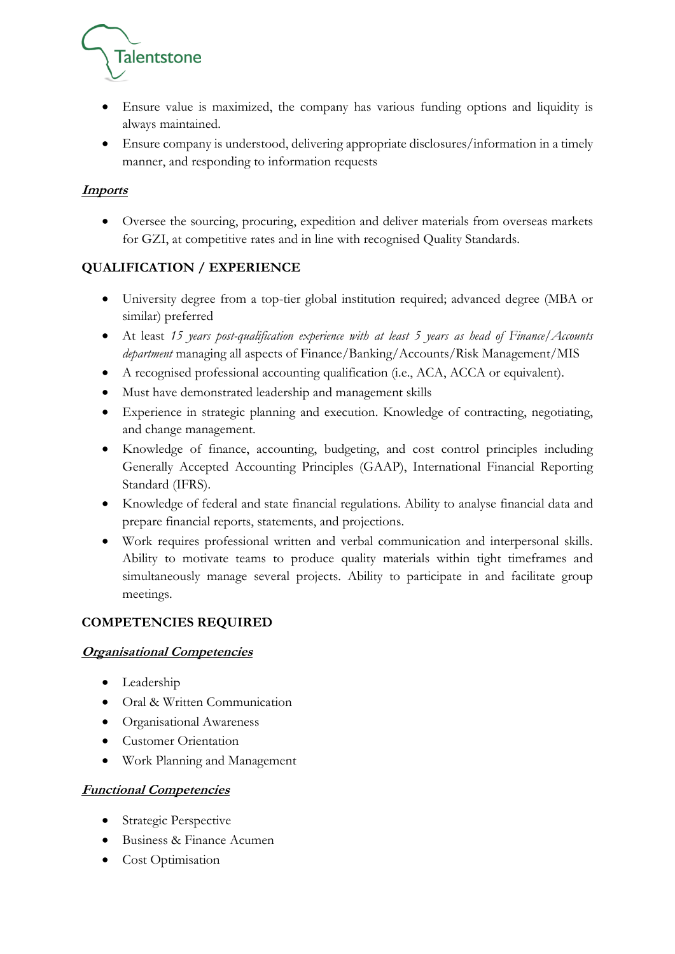

- Ensure value is maximized, the company has various funding options and liquidity is always maintained.
- Ensure company is understood, delivering appropriate disclosures/information in a timely manner, and responding to information requests

# **Imports**

• Oversee the sourcing, procuring, expedition and deliver materials from overseas markets for GZI, at competitive rates and in line with recognised Quality Standards.

# **QUALIFICATION / EXPERIENCE**

- University degree from a top-tier global institution required; advanced degree (MBA or similar) preferred
- At least *15 years post-qualification experience with at least 5 years as head of Finance/Accounts department* managing all aspects of Finance/Banking/Accounts/Risk Management/MIS
- A recognised professional accounting qualification (i.e., ACA, ACCA or equivalent).
- Must have demonstrated leadership and management skills
- Experience in strategic planning and execution. Knowledge of contracting, negotiating, and change management.
- Knowledge of finance, accounting, budgeting, and cost control principles including Generally Accepted Accounting Principles (GAAP), International Financial Reporting Standard (IFRS).
- Knowledge of federal and state financial regulations. Ability to analyse financial data and prepare financial reports, statements, and projections.
- Work requires professional written and verbal communication and interpersonal skills. Ability to motivate teams to produce quality materials within tight timeframes and simultaneously manage several projects. Ability to participate in and facilitate group meetings.

# **COMPETENCIES REQUIRED**

# **Organisational Competencies**

- Leadership
- Oral & Written Communication
- Organisational Awareness
- Customer Orientation
- Work Planning and Management

# **Functional Competencies**

- Strategic Perspective
- Business & Finance Acumen
- Cost Optimisation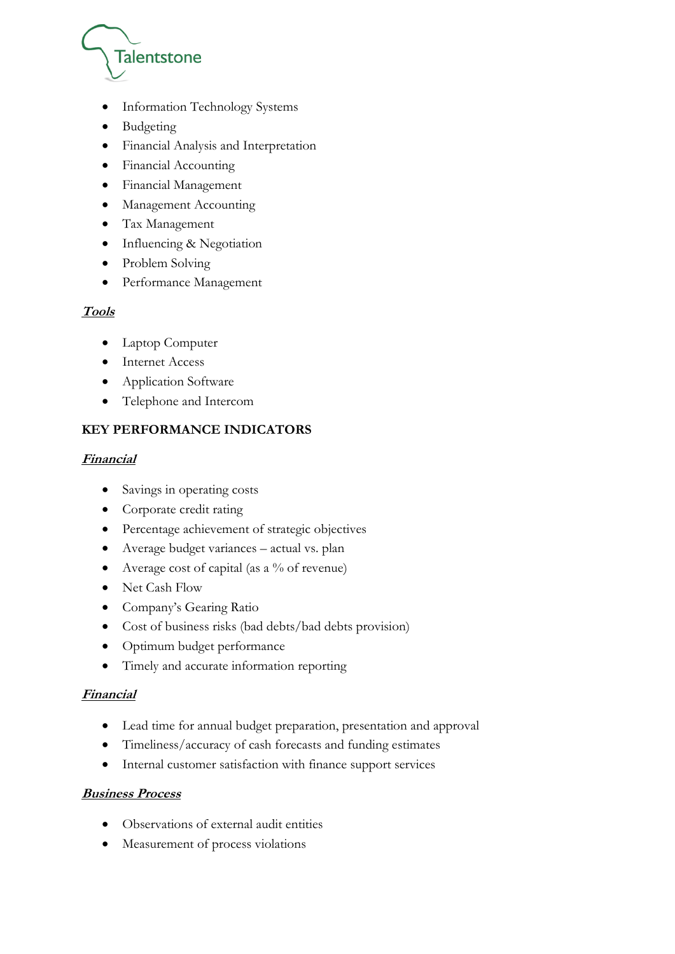

- Information Technology Systems
- Budgeting
- Financial Analysis and Interpretation
- Financial Accounting
- Financial Management
- Management Accounting
- Tax Management
- Influencing & Negotiation
- Problem Solving
- Performance Management

# **Tools**

- Laptop Computer
- Internet Access
- Application Software
- Telephone and Intercom

# **KEY PERFORMANCE INDICATORS**

#### **Financial**

- Savings in operating costs
- Corporate credit rating
- Percentage achievement of strategic objectives
- Average budget variances actual vs. plan
- Average cost of capital (as a  $%$  of revenue)
- Net Cash Flow
- Company's Gearing Ratio
- Cost of business risks (bad debts/bad debts provision)
- Optimum budget performance
- Timely and accurate information reporting

# **Financial**

- Lead time for annual budget preparation, presentation and approval
- Timeliness/accuracy of cash forecasts and funding estimates
- Internal customer satisfaction with finance support services

#### **Business Process**

- Observations of external audit entities
- Measurement of process violations